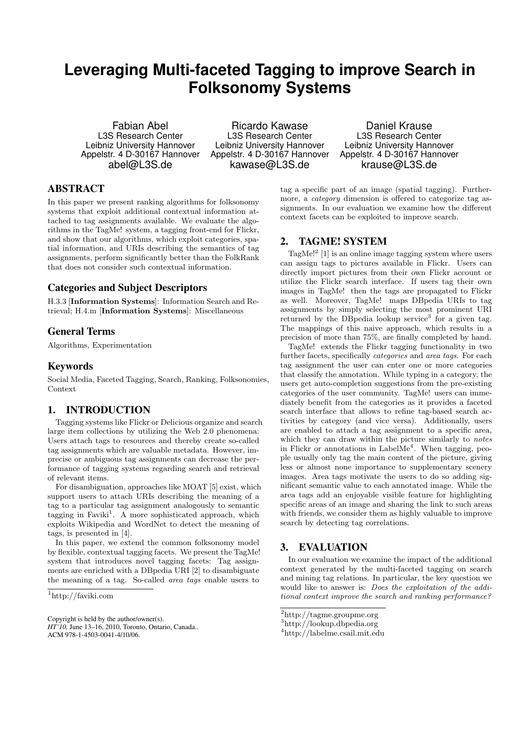# **Leveraging Multi-faceted Tagging to improve Search in Folksonomy Systems**

Fabian Abel L3S Research Center Leibniz University Hannover Appelstr. 4 D-30167 Hannover abel@L3S.de

Ricardo Kawase L3S Research Center Leibniz University Hannover Appelstr. 4 D-30167 Hannover kawase@L3S.de

Daniel Krause L3S Research Center Leibniz University Hannover Appelstr. 4 D-30167 Hannover krause@L3S.de

# ABSTRACT

In this paper we present ranking algorithms for folksonomy systems that exploit additional contextual information attached to tag assignments available. We evaluate the algorithms in the TagMe! system, a tagging front-end for Flickr, and show that our algorithms, which exploit categories, spatial information, and URIs describing the semantics of tag assignments, perform significantly better than the FolkRank that does not consider such contextual information.

### Categories and Subject Descriptors

H.3.3 [Information Systems]: Information Search and Retrieval; H.4.m [Information Systems]: Miscellaneous

## General Terms

Algorithms, Experimentation

#### Keywords

Social Media, Faceted Tagging, Search, Ranking, Folksonomies, Context

## 1. INTRODUCTION

Tagging systems like Flickr or Delicious organize and search large item collections by utilizing the Web 2.0 phenomena: Users attach tags to resources and thereby create so-called tag assignments which are valuable metadata. However, imprecise or ambiguous tag assignments can decrease the performance of tagging systems regarding search and retrieval of relevant items.

For disambiguation, approaches like MOAT [5] exist, which support users to attach URIs describing the meaning of a tag to a particular tag assignment analogously to semantic tagging in Faviki<sup>1</sup>. A more sophisticated approach, which exploits Wikipedia and WordNet to detect the meaning of tags, is presented in [4].

In this paper, we extend the common folksonomy model by flexible, contextual tagging facets. We present the TagMe! system that introduces novel tagging facets: Tag assignments are enriched with a DBpedia URI [2] to disambiguate the meaning of a tag. So-called area tags enable users to

tag a specific part of an image (spatial tagging). Furthermore, a *category* dimension is offered to categorize tag assignments. In our evaluation we examine how the different context facets can be exploited to improve search.

## 2. TAGME! SYSTEM

TagMe!<sup>2</sup> [1] is an online image tagging system where users can assign tags to pictures available in Flickr. Users can directly import pictures from their own Flickr account or utilize the Flickr search interface. If users tag their own images in TagMe! then the tags are propagated to Flickr as well. Moreover, TagMe! maps DBpedia URIs to tag assignments by simply selecting the most prominent URI returned by the DB pedia lookup service<sup>3</sup> for a given tag. The mappings of this naive approach, which results in a precision of more than 75%, are finally completed by hand.

TagMe! extends the Flickr tagging functionality in two further facets, specifically categories and area tags. For each tag assignment the user can enter one or more categories that classify the annotation. While typing in a category, the users get auto-completion suggestions from the pre-existing categories of the user community. TagMe! users can immediately benefit from the categories as it provides a faceted search interface that allows to refine tag-based search activities by category (and vice versa). Additionally, users are enabled to attach a tag assignment to a specific area, which they can draw within the picture similarly to notes in Flickr or annotations in LabelMe<sup>4</sup>. When tagging, people usually only tag the main content of the picture, giving less or almost none importance to supplementary scenery images. Area tags motivate the users to do so adding significant semantic value to each annotated image. While the area tags add an enjoyable visible feature for highlighting specific areas of an image and sharing the link to such areas with friends, we consider them as highly valuable to improve search by detecting tag correlations.

# 3. EVALUATION

In our evaluation we examine the impact of the additional context generated by the multi-faceted tagging on search and mining tag relations. In particular, the key question we would like to answer is: Does the exploitation of the additional context improve the search and ranking performance?

 $1$ http://faviki.com

Copyright is held by the author/owner(s). *HT'10,* June 13–16, 2010, Toronto, Ontario, Canada.. ACM 978-1-4503-0041-4/10/06.

 $^{2}$ http://tagme.groupme.org

<sup>3</sup>http://lookup.dbpedia.org

<sup>4</sup>http://labelme.csail.mit.edu